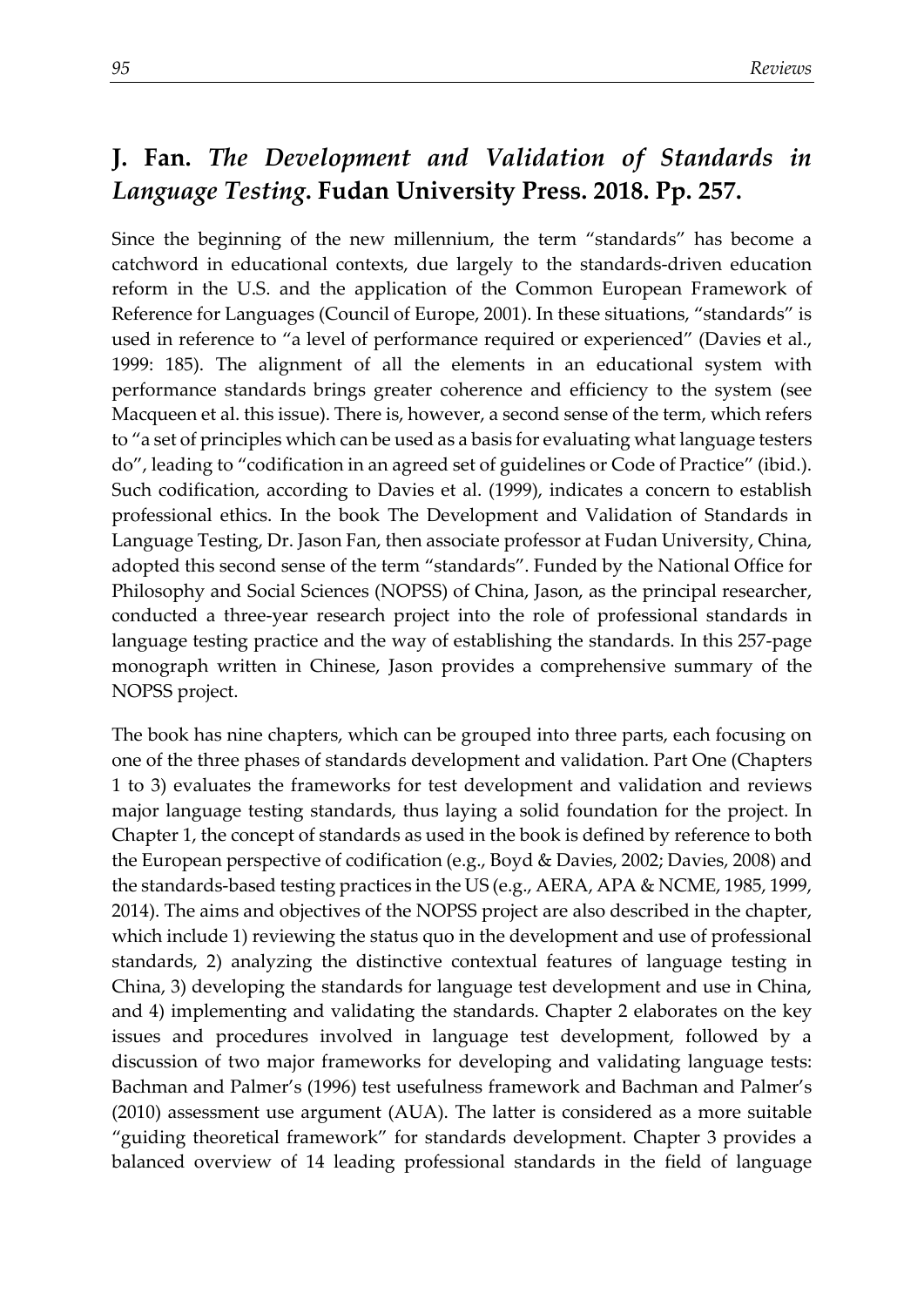## **J. Fan.** *The Development and Validation of Standards in Language Testing***. Fudan University Press. 2018. Pp. 257.**

Since the beginning of the new millennium, the term "standards" has become a catchword in educational contexts, due largely to the standards-driven education reform in the U.S. and the application of the Common European Framework of Reference for Languages (Council of Europe, 2001). In these situations, "standards" is used in reference to "a level of performance required or experienced" (Davies et al., 1999: 185). The alignment of all the elements in an educational system with performance standards brings greater coherence and efficiency to the system (see Macqueen et al. this issue). There is, however, a second sense of the term, which refers to "a set of principles which can be used as a basis for evaluating what language testers do", leading to "codification in an agreed set of guidelines or Code of Practice" (ibid.). Such codification, according to Davies et al. (1999), indicates a concern to establish professional ethics. In the book The Development and Validation of Standards in Language Testing, Dr. Jason Fan, then associate professor at Fudan University, China, adopted this second sense of the term "standards". Funded by the National Office for Philosophy and Social Sciences (NOPSS) of China, Jason, as the principal researcher, conducted a three-year research project into the role of professional standards in language testing practice and the way of establishing the standards. In this 257-page monograph written in Chinese, Jason provides a comprehensive summary of the NOPSS project.

The book has nine chapters, which can be grouped into three parts, each focusing on one of the three phases of standards development and validation. Part One (Chapters 1 to 3) evaluates the frameworks for test development and validation and reviews major language testing standards, thus laying a solid foundation for the project. In Chapter 1, the concept of standards as used in the book is defined by reference to both the European perspective of codification (e.g., Boyd & Davies, 2002; Davies, 2008) and the standards-based testing practices in the US (e.g., AERA, APA & NCME, 1985, 1999, 2014). The aims and objectives of the NOPSS project are also described in the chapter, which include 1) reviewing the status quo in the development and use of professional standards, 2) analyzing the distinctive contextual features of language testing in China, 3) developing the standards for language test development and use in China, and 4) implementing and validating the standards. Chapter 2 elaborates on the key issues and procedures involved in language test development, followed by a discussion of two major frameworks for developing and validating language tests: Bachman and Palmer's (1996) test usefulness framework and Bachman and Palmer's (2010) assessment use argument (AUA). The latter is considered as a more suitable "guiding theoretical framework" for standards development. Chapter 3 provides a balanced overview of 14 leading professional standards in the field of language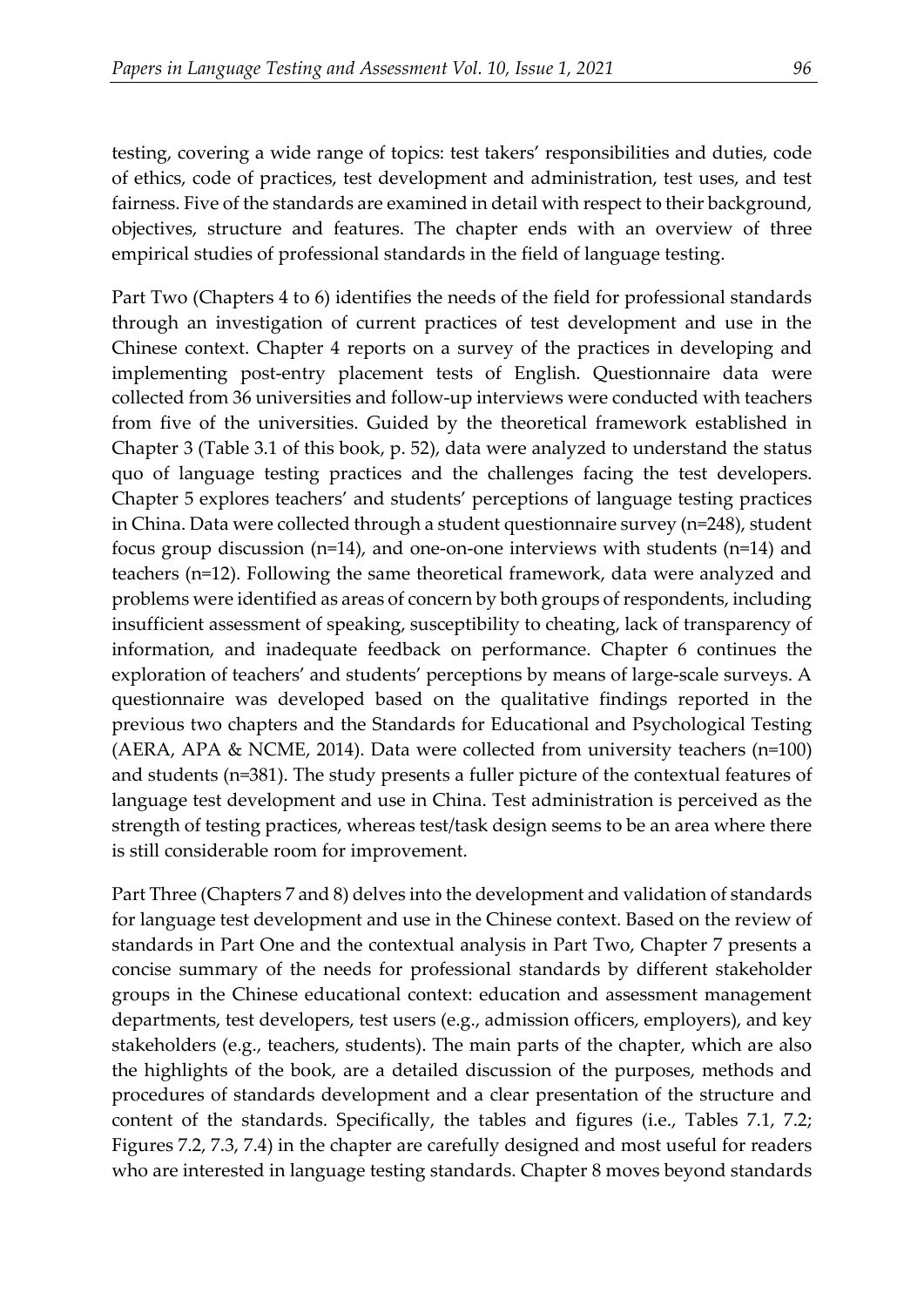testing, covering a wide range of topics: test takers' responsibilities and duties, code of ethics, code of practices, test development and administration, test uses, and test fairness. Five of the standards are examined in detail with respect to their background, objectives, structure and features. The chapter ends with an overview of three empirical studies of professional standards in the field of language testing.

Part Two (Chapters 4 to 6) identifies the needs of the field for professional standards through an investigation of current practices of test development and use in the Chinese context. Chapter 4 reports on a survey of the practices in developing and implementing post-entry placement tests of English. Questionnaire data were collected from 36 universities and follow-up interviews were conducted with teachers from five of the universities. Guided by the theoretical framework established in Chapter 3 (Table 3.1 of this book, p. 52), data were analyzed to understand the status quo of language testing practices and the challenges facing the test developers. Chapter 5 explores teachers' and students' perceptions of language testing practices in China. Data were collected through a student questionnaire survey (n=248), student focus group discussion (n=14), and one-on-one interviews with students (n=14) and teachers (n=12). Following the same theoretical framework, data were analyzed and problems were identified as areas of concern by both groups of respondents, including insufficient assessment of speaking, susceptibility to cheating, lack of transparency of information, and inadequate feedback on performance. Chapter 6 continues the exploration of teachers' and students' perceptions by means of large-scale surveys. A questionnaire was developed based on the qualitative findings reported in the previous two chapters and the Standards for Educational and Psychological Testing (AERA, APA & NCME, 2014). Data were collected from university teachers (n=100) and students (n=381). The study presents a fuller picture of the contextual features of language test development and use in China. Test administration is perceived as the strength of testing practices, whereas test/task design seems to be an area where there is still considerable room for improvement.

Part Three (Chapters 7 and 8) delves into the development and validation of standards for language test development and use in the Chinese context. Based on the review of standards in Part One and the contextual analysis in Part Two, Chapter 7 presents a concise summary of the needs for professional standards by different stakeholder groups in the Chinese educational context: education and assessment management departments, test developers, test users (e.g., admission officers, employers), and key stakeholders (e.g., teachers, students). The main parts of the chapter, which are also the highlights of the book, are a detailed discussion of the purposes, methods and procedures of standards development and a clear presentation of the structure and content of the standards. Specifically, the tables and figures (i.e., Tables 7.1, 7.2; Figures 7.2, 7.3, 7.4) in the chapter are carefully designed and most useful for readers who are interested in language testing standards. Chapter 8 moves beyond standards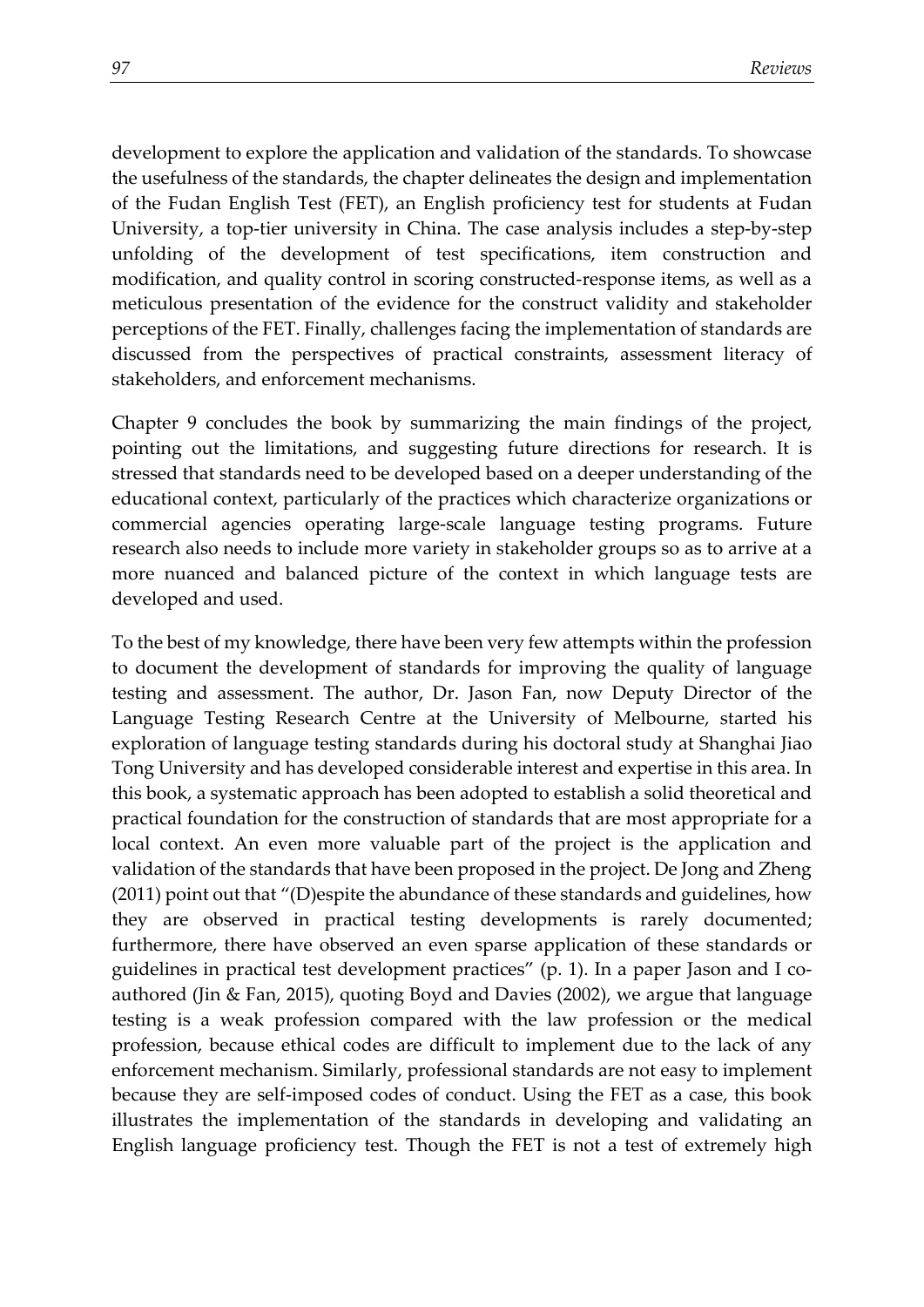development to explore the application and validation of the standards. To showcase the usefulness of the standards, the chapter delineates the design and implementation of the Fudan English Test (FET), an English proficiency test for students at Fudan University, a top-tier university in China. The case analysis includes a step-by-step unfolding of the development of test specifications, item construction and modification, and quality control in scoring constructed-response items, as well as a meticulous presentation of the evidence for the construct validity and stakeholder perceptions of the FET. Finally, challenges facing the implementation of standards are discussed from the perspectives of practical constraints, assessment literacy of stakeholders, and enforcement mechanisms.

Chapter 9 concludes the book by summarizing the main findings of the project, pointing out the limitations, and suggesting future directions for research. It is stressed that standards need to be developed based on a deeper understanding of the educational context, particularly of the practices which characterize organizations or commercial agencies operating large-scale language testing programs. Future research also needs to include more variety in stakeholder groups so as to arrive at a more nuanced and balanced picture of the context in which language tests are developed and used.

To the best of my knowledge, there have been very few attempts within the profession to document the development of standards for improving the quality of language testing and assessment. The author, Dr. Jason Fan, now Deputy Director of the Language Testing Research Centre at the University of Melbourne, started his exploration of language testing standards during his doctoral study at Shanghai Jiao Tong University and has developed considerable interest and expertise in this area. In this book, a systematic approach has been adopted to establish a solid theoretical and practical foundation for the construction of standards that are most appropriate for a local context. An even more valuable part of the project is the application and validation of the standards that have been proposed in the project. De Jong and Zheng (2011) point out that "(D)espite the abundance of these standards and guidelines, how they are observed in practical testing developments is rarely documented; furthermore, there have observed an even sparse application of these standards or guidelines in practical test development practices" (p. 1). In a paper Jason and I coauthored (Jin & Fan, 2015), quoting Boyd and Davies (2002), we argue that language testing is a weak profession compared with the law profession or the medical profession, because ethical codes are difficult to implement due to the lack of any enforcement mechanism. Similarly, professional standards are not easy to implement because they are self-imposed codes of conduct. Using the FET as a case, this book illustrates the implementation of the standards in developing and validating an English language proficiency test. Though the FET is not a test of extremely high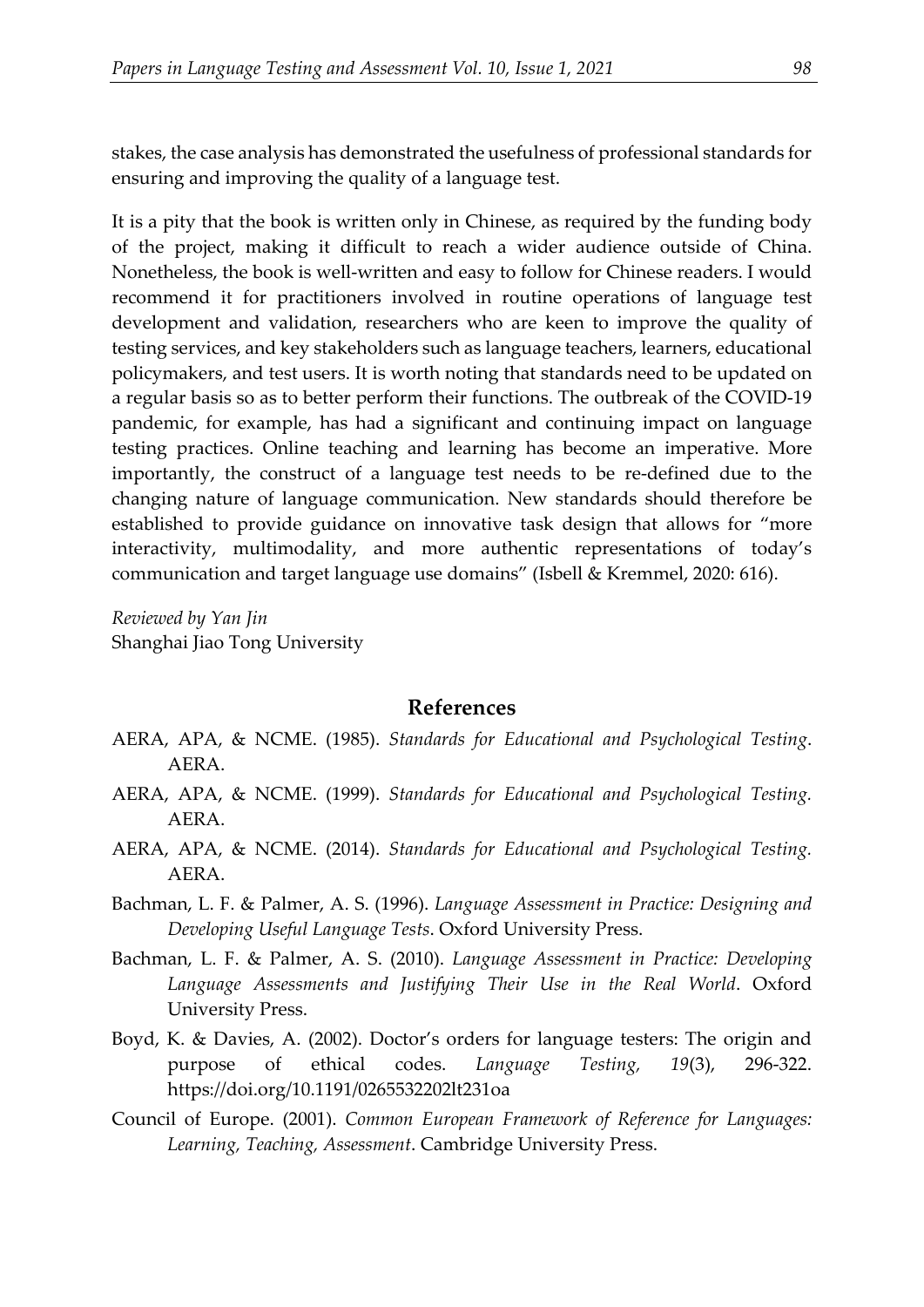stakes, the case analysis has demonstrated the usefulness of professional standards for ensuring and improving the quality of a language test.

It is a pity that the book is written only in Chinese, as required by the funding body of the project, making it difficult to reach a wider audience outside of China. Nonetheless, the book is well-written and easy to follow for Chinese readers. I would recommend it for practitioners involved in routine operations of language test development and validation, researchers who are keen to improve the quality of testing services, and key stakeholders such as language teachers, learners, educational policymakers, and test users. It is worth noting that standards need to be updated on a regular basis so as to better perform their functions. The outbreak of the COVID-19 pandemic, for example, has had a significant and continuing impact on language testing practices. Online teaching and learning has become an imperative. More importantly, the construct of a language test needs to be re-defined due to the changing nature of language communication. New standards should therefore be established to provide guidance on innovative task design that allows for "more interactivity, multimodality, and more authentic representations of today's communication and target language use domains" (Isbell & Kremmel, 2020: 616).

*Reviewed by Yan Jin* Shanghai Jiao Tong University

## **References**

- AERA, APA, & NCME. (1985). *Standards for Educational and Psychological Testing*. AERA.
- AERA, APA, & NCME. (1999). *Standards for Educational and Psychological Testing.* AERA.
- AERA, APA, & NCME. (2014). *Standards for Educational and Psychological Testing.* AERA.
- Bachman, L. F. & Palmer, A. S. (1996). *Language Assessment in Practice: Designing and Developing Useful Language Tests*. Oxford University Press.
- Bachman, L. F. & Palmer, A. S. (2010). *Language Assessment in Practice: Developing Language Assessments and Justifying Their Use in the Real World*. Oxford University Press.
- Boyd, K. & Davies, A. (2002). Doctor's orders for language testers: The origin and purpose of ethical codes. *Language Testing, 19*(3), 296-322. <https://doi.org/10.1191/0265532202lt231oa>
- Council of Europe. (2001). *Common European Framework of Reference for Languages: Learning, Teaching, Assessment*. Cambridge University Press.